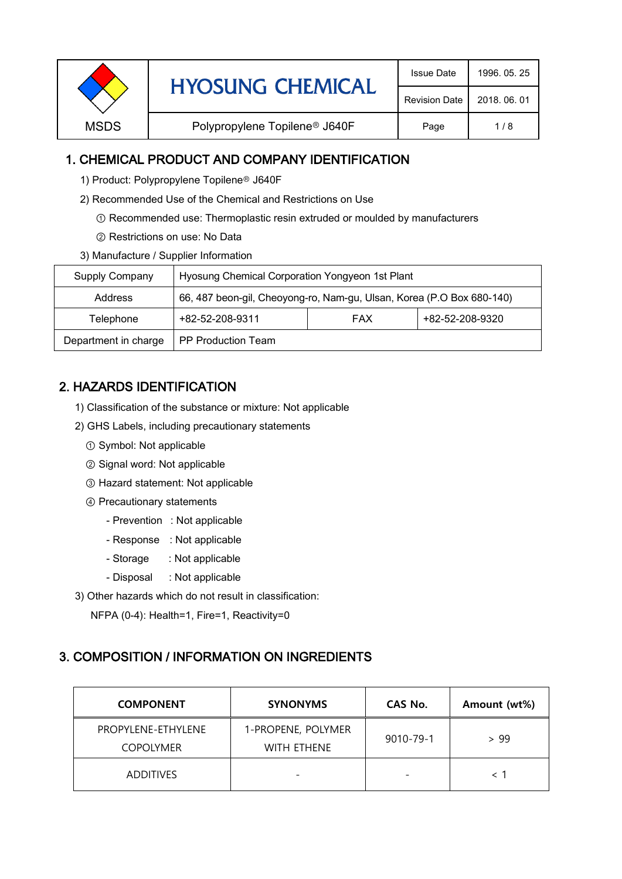|             | <b>HYOSUNG CHEMICAL</b>                   | <b>Issue Date</b>    | 1996, 05, 25 |
|-------------|-------------------------------------------|----------------------|--------------|
|             |                                           | <b>Revision Date</b> | 2018, 06, 01 |
| <b>MSDS</b> | Polypropylene Topilene <sup>®</sup> J640F | Page                 | 1/8          |

### 1. CHEMICAL PRODUCT AND COMPANY IDENTIFICATION

- 1) Product: Polypropylene Topilene<sup>®</sup> J640F
- 2) Recommended Use of the Chemical and Restrictions on Use
	- ① Recommended use: Thermoplastic resin extruded or moulded by manufacturers
	- ② Restrictions on use: No Data
- 3) Manufacture / Supplier Information

| Supply Company       | Hyosung Chemical Corporation Yongyeon 1st Plant                       |  |  |
|----------------------|-----------------------------------------------------------------------|--|--|
| Address              | 66, 487 beon-gil, Cheoyong-ro, Nam-gu, Ulsan, Korea (P.O Box 680-140) |  |  |
| Telephone            | +82-52-208-9320<br>+82-52-208-9311<br><b>FAX</b>                      |  |  |
| Department in charge | <b>PP Production Team</b>                                             |  |  |

# 2. HAZARDS IDENTIFICATION

- 1) Classification of the substance or mixture: Not applicable
- 2) GHS Labels, including precautionary statements
	- ① Symbol: Not applicable
	- ② Signal word: Not applicable
	- ③ Hazard statement: Not applicable
	- ④ Precautionary statements
		- Prevention : Not applicable
		- Response : Not applicable
		- Storage : Not applicable
		- Disposal : Not applicable
- 3) Other hazards which do not result in classification:

NFPA (0-4): Health=1, Fire=1, Reactivity=0

#### 3. COMPOSITION / INFORMATION ON INGREDIENTS

| <b>COMPONENT</b>                       | <b>SYNONYMS</b>                          | CAS No.                  | Amount (wt%) |
|----------------------------------------|------------------------------------------|--------------------------|--------------|
| PROPYLENE-ETHYLENE<br><b>COPOLYMER</b> | 1-PROPENE, POLYMER<br><b>WITH FTHENE</b> | 9010-79-1                | > 99         |
| <b>ADDITIVES</b>                       | $\overline{\phantom{0}}$                 | $\overline{\phantom{0}}$ |              |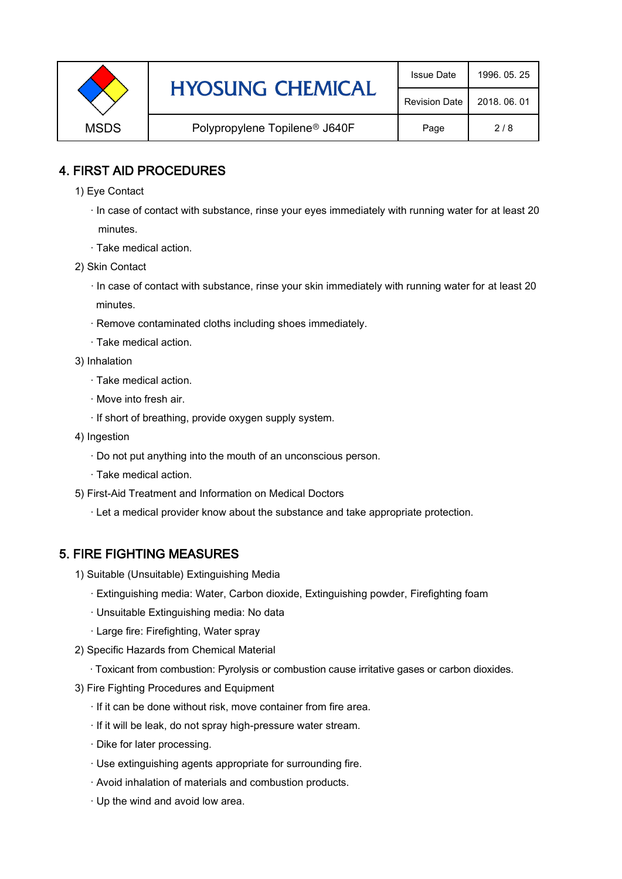|             | <b>HYOSUNG CHEMICAL</b>                   | <b>Issue Date</b>    | 1996, 05, 25 |
|-------------|-------------------------------------------|----------------------|--------------|
|             |                                           | <b>Revision Date</b> | 2018, 06, 01 |
| <b>MSDS</b> | Polypropylene Topilene <sup>®</sup> J640F | Page                 | 2/8          |

### 4. FIRST AID PROCEDURES

- 1) Eye Contact
	- · In case of contact with substance, rinse your eyes immediately with running water for at least 20 minutes.
	- · Take medical action.
- 2) Skin Contact
	- · In case of contact with substance, rinse your skin immediately with running water for at least 20 minutes.
	- · Remove contaminated cloths including shoes immediately.
	- · Take medical action.
- 3) Inhalation
	- · Take medical action.
	- · Move into fresh air.
	- · If short of breathing, provide oxygen supply system.
- 4) Ingestion
	- · Do not put anything into the mouth of an unconscious person.
	- · Take medical action.
- 5) First-Aid Treatment and Information on Medical Doctors
	- · Let a medical provider know about the substance and take appropriate protection.

## 5. FIRE FIGHTING MEASURES

- 1) Suitable (Unsuitable) Extinguishing Media
	- · Extinguishing media: Water, Carbon dioxide, Extinguishing powder, Firefighting foam
	- · Unsuitable Extinguishing media: No data
	- · Large fire: Firefighting, Water spray
- 2) Specific Hazards from Chemical Material
	- · Toxicant from combustion: Pyrolysis or combustion cause irritative gases or carbon dioxides.
- 3) Fire Fighting Procedures and Equipment
	- · If it can be done without risk, move container from fire area.
	- · If it will be leak, do not spray high-pressure water stream.
	- · Dike for later processing.
	- · Use extinguishing agents appropriate for surrounding fire.
	- · Avoid inhalation of materials and combustion products.
	- · Up the wind and avoid low area.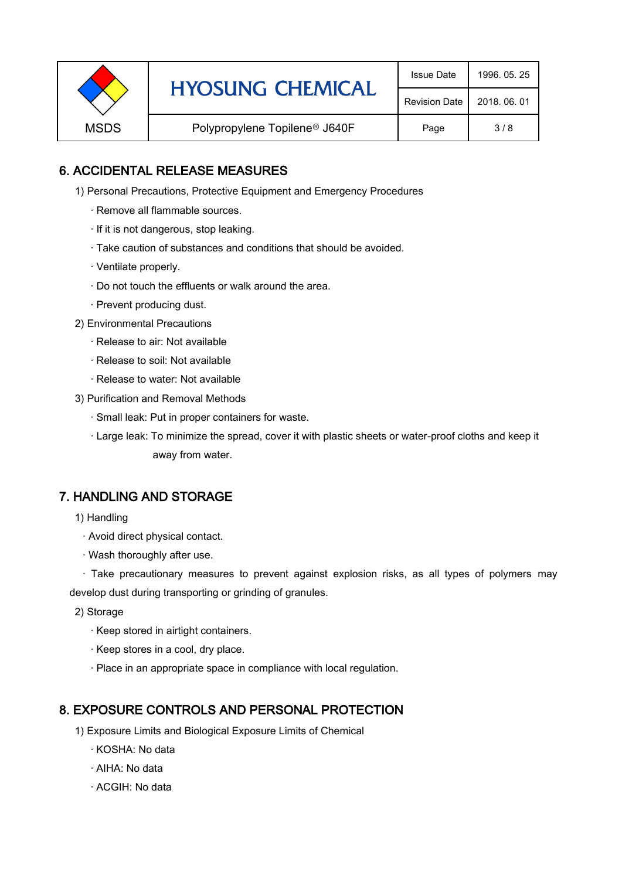|  | <b>HYOSUNG CHEMICAL</b><br><b>MSDS</b><br>Polypropylene Topilene <sup>®</sup> J640F | <b>Issue Date</b>    | 1996, 05, 25 |
|--|-------------------------------------------------------------------------------------|----------------------|--------------|
|  |                                                                                     | <b>Revision Date</b> | 2018, 06, 01 |
|  |                                                                                     | Page                 | 3/8          |

### 6. ACCIDENTAL RELEASE MEASURES

- 1) Personal Precautions, Protective Equipment and Emergency Procedures
	- · Remove all flammable sources.
	- · If it is not dangerous, stop leaking.
	- · Take caution of substances and conditions that should be avoided.
	- · Ventilate properly.
	- · Do not touch the effluents or walk around the area.
	- · Prevent producing dust.
- 2) Environmental Precautions
	- · Release to air: Not available
	- · Release to soil: Not available
	- · Release to water: Not available
- 3) Purification and Removal Methods
	- · Small leak: Put in proper containers for waste.
	- ,· Large leak: To minimize the spread, cover it with plastic sheets or water-proof cloths and keep it away from water.

#### 7. HANDLING AND STORAGE

- 1) Handling
	- · Avoid direct physical contact.
	- · Wash thoroughly after use.

· Take precautionary measures to prevent against explosion risks, as all types of polymers may develop dust during transporting or grinding of granules.

- 2) Storage
	- · Keep stored in airtight containers.
	- · Keep stores in a cool, dry place.
	- · Place in an appropriate space in compliance with local regulation.

#### 8. EXPOSURE CONTROLS AND PERSONAL PROTECTION

- 1) Exposure Limits and Biological Exposure Limits of Chemical
	- · KOSHA: No data
	- · AIHA: No data
	- · ACGIH: No data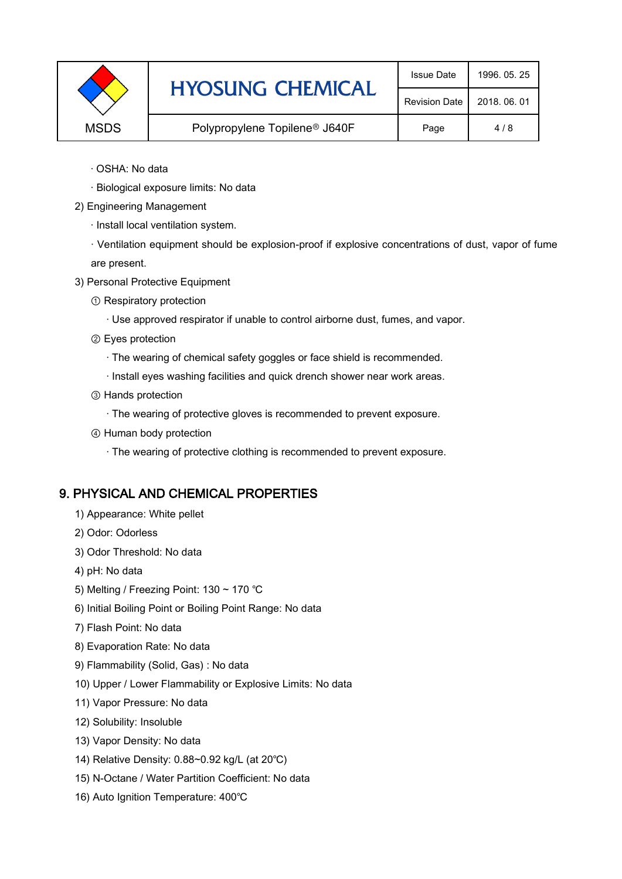|             | <b>HYOSUNG CHEMICAL</b>                   | <b>Issue Date</b>    | 1996, 05, 25 |
|-------------|-------------------------------------------|----------------------|--------------|
|             |                                           | <b>Revision Date</b> | 2018, 06, 01 |
| <b>MSDS</b> | Polypropylene Topilene <sup>®</sup> J640F | Page                 | 4/8          |

- · OSHA: No data
- · Biological exposure limits: No data
- 2) Engineering Management
	- · Install local ventilation system.

· Ventilation equipment should be explosion-proof if explosive concentrations of dust, vapor of fume are present.

- 3) Personal Protective Equipment
	- ① Respiratory protection
		- · Use approved respirator if unable to control airborne dust, fumes, and vapor.
	- ② Eyes protection
		- · The wearing of chemical safety goggles or face shield is recommended.
		- · Install eyes washing facilities and quick drench shower near work areas.
	- ③ Hands protection
		- · The wearing of protective gloves is recommended to prevent exposure.
	- ④ Human body protection
		- · The wearing of protective clothing is recommended to prevent exposure.

## 9. PHYSICAL AND CHEMICAL PROPERTIES

- 1) Appearance: White pellet
- 2) Odor: Odorless
- 3) Odor Threshold: No data
- 4) pH: No data
- 5) Melting / Freezing Point: 130 ~ 170 ℃
- 6) Initial Boiling Point or Boiling Point Range: No data
- 7) Flash Point: No data
- 8) Evaporation Rate: No data
- 9) Flammability (Solid, Gas) : No data
- 10) Upper / Lower Flammability or Explosive Limits: No data
- 11) Vapor Pressure: No data
- 12) Solubility: Insoluble
- 13) Vapor Density: No data
- 14) Relative Density: 0.88~0.92 kg/L (at 20℃)
- 15) N-Octane / Water Partition Coefficient: No data
- 16) Auto Ignition Temperature: 400℃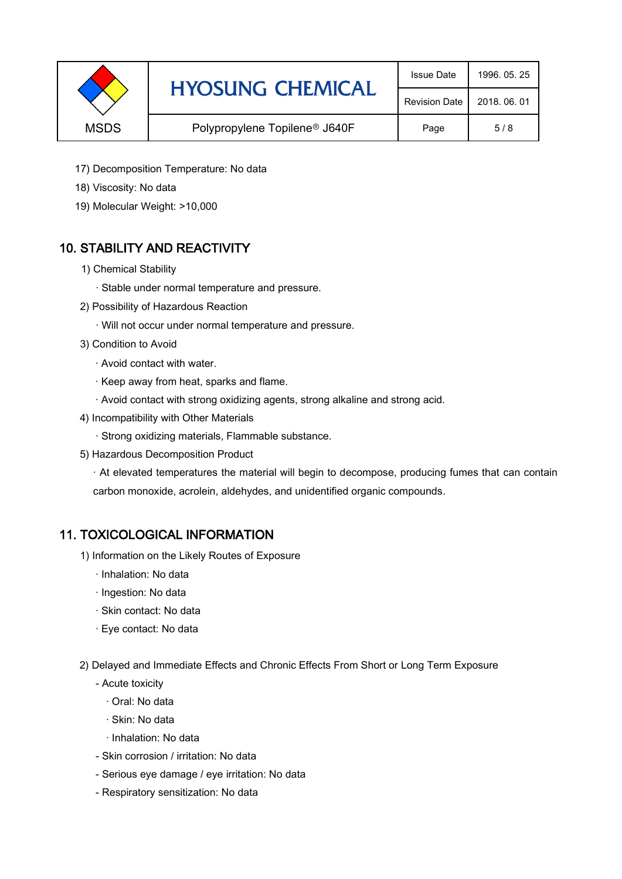|             | <b>HYOSUNG CHEMICAL</b>                   | <b>Issue Date</b>    | 1996, 05, 25 |
|-------------|-------------------------------------------|----------------------|--------------|
|             |                                           | <b>Revision Date</b> | 2018, 06, 01 |
| <b>MSDS</b> | Polypropylene Topilene <sup>®</sup> J640F | Page                 | 5/8          |

- 17) Decomposition Temperature: No data
- 18) Viscosity: No data
- 19) Molecular Weight: >10,000

## 10. STABILITY AND REACTIVITY

- 1) Chemical Stability
	- · Stable under normal temperature and pressure.
- 2) Possibility of Hazardous Reaction
	- · Will not occur under normal temperature and pressure.
- 3) Condition to Avoid
	- · Avoid contact with water.
	- · Keep away from heat, sparks and flame.
	- · Avoid contact with strong oxidizing agents, strong alkaline and strong acid.
- 4) Incompatibility with Other Materials
	- · Strong oxidizing materials, Flammable substance.
- 5) Hazardous Decomposition Product

· At elevated temperatures the material will begin to decompose, producing fumes that can contain carbon monoxide, acrolein, aldehydes, and unidentified organic compounds.

#### 11. TOXICOLOGICAL INFORMATION

- 1) Information on the Likely Routes of Exposure
	- · Inhalation: No data
	- · Ingestion: No data
	- · Skin contact: No data
	- · Eye contact: No data
- 2) Delayed and Immediate Effects and Chronic Effects From Short or Long Term Exposure
	- Acute toxicity
		- · Oral: No data
		- · Skin: No data
		- · Inhalation: No data
	- Skin corrosion / irritation: No data
	- Serious eye damage / eye irritation: No data
	- Respiratory sensitization: No data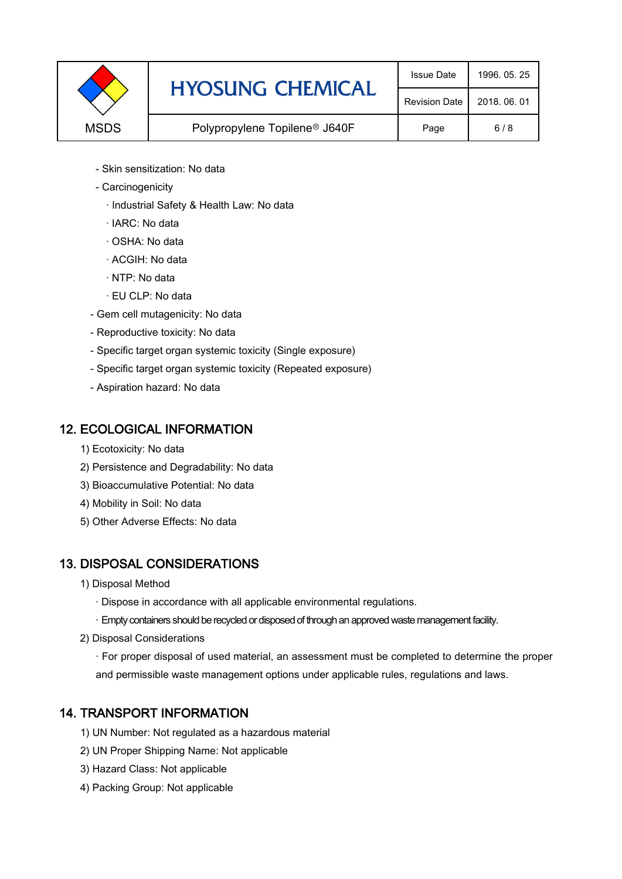|             | <b>HYOSUNG CHEMICAL</b>                   | <b>Issue Date</b>    | 1996, 05, 25 |
|-------------|-------------------------------------------|----------------------|--------------|
|             |                                           | <b>Revision Date</b> | 2018, 06, 01 |
| <b>MSDS</b> | Polypropylene Topilene <sup>®</sup> J640F | Page                 | 6/8          |

- Skin sensitization: No data
- Carcinogenicity
	- · Industrial Safety & Health Law: No data
	- · IARC: No data
	- · OSHA: No data
	- · ACGIH: No data
	- · NTP: No data
	- · EU CLP: No data
- Gem cell mutagenicity: No data
- Reproductive toxicity: No data
- Specific target organ systemic toxicity (Single exposure)
- Specific target organ systemic toxicity (Repeated exposure)
- Aspiration hazard: No data

#### 12. ECOLOGICAL INFORMATION

- 1) Ecotoxicity: No data
- 2) Persistence and Degradability: No data
- 3) Bioaccumulative Potential: No data
- 4) Mobility in Soil: No data
- 5) Other Adverse Effects: No data

#### 13. DISPOSAL CONSIDERATIONS

- 1) Disposal Method
	- · Dispose in accordance with all applicable environmental regulations.
	- · Empty containers should be recycled or disposed of through an approved waste management facility.
- 2) Disposal Considerations
	- · For proper disposal of used material, an assessment must be completed to determine the proper and permissible waste management options under applicable rules, regulations and laws.

## 14. TRANSPORT INFORMATION

- 1) UN Number: Not regulated as a hazardous material
- 2) UN Proper Shipping Name: Not applicable
- 3) Hazard Class: Not applicable
- 4) Packing Group: Not applicable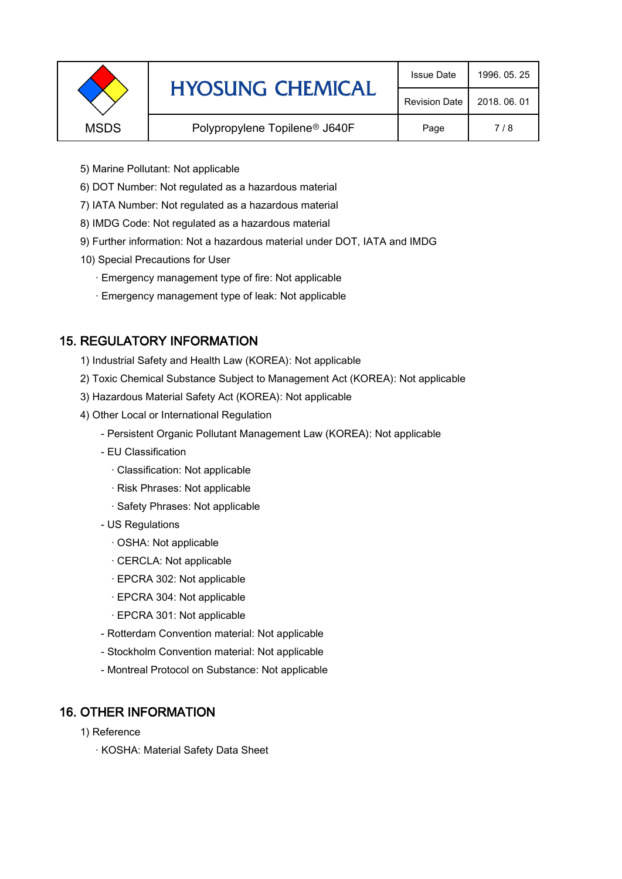|             | <b>HYOSUNG CHEMICAL</b>                   | <b>Issue Date</b>    | 1996, 05, 25 |
|-------------|-------------------------------------------|----------------------|--------------|
|             |                                           | <b>Revision Date</b> | 2018, 06, 01 |
| <b>MSDS</b> | Polypropylene Topilene <sup>®</sup> J640F | Page                 | 7/8          |
|             |                                           |                      |              |

- 5) Marine Pollutant: Not applicable
- 6) DOT Number: Not regulated as a hazardous material
- 7) IATA Number: Not regulated as a hazardous material
- 8) IMDG Code: Not regulated as a hazardous material
- 9) Further information: Not a hazardous material under DOT, IATA and IMDG
- 10) Special Precautions for User
	- · Emergency management type of fire: Not applicable
	- · Emergency management type of leak: Not applicable

## 15. REGULATORY INFORMATION

- 1) Industrial Safety and Health Law (KOREA): Not applicable
- 2) Toxic Chemical Substance Subject to Management Act (KOREA): Not applicable
- 3) Hazardous Material Safety Act (KOREA): Not applicable
- 4) Other Local or International Regulation
	- Persistent Organic Pollutant Management Law (KOREA): Not applicable
	- EU Classification
		- · Classification: Not applicable
		- · Risk Phrases: Not applicable
		- · Safety Phrases: Not applicable
	- US Regulations
		- · OSHA: Not applicable
		- · CERCLA: Not applicable
		- · EPCRA 302: Not applicable
		- · EPCRA 304: Not applicable
		- · EPCRA 301: Not applicable
	- Rotterdam Convention material: Not applicable
	- Stockholm Convention material: Not applicable
	- Montreal Protocol on Substance: Not applicable

## 16. OTHER INFORMATION

- 1) Reference
	- · KOSHA: Material Safety Data Sheet